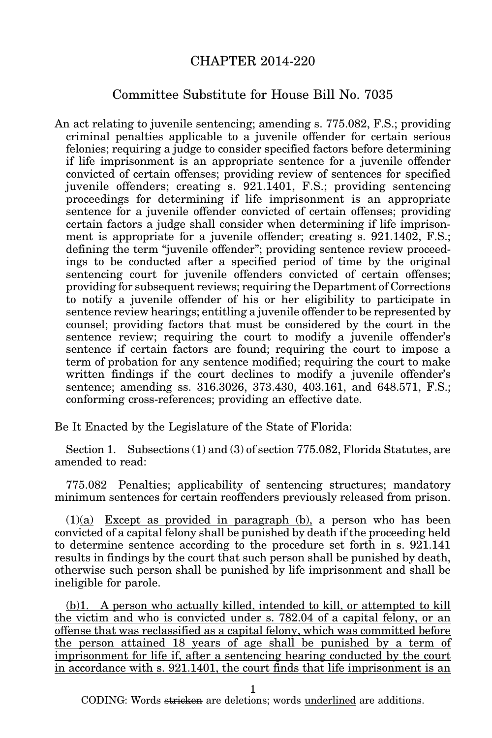## CHAPTER 2014-220

## Committee Substitute for House Bill No. 7035

An act relating to juvenile sentencing; amending s. 775.082, F.S.; providing criminal penalties applicable to a juvenile offender for certain serious felonies; requiring a judge to consider specified factors before determining if life imprisonment is an appropriate sentence for a juvenile offender convicted of certain offenses; providing review of sentences for specified juvenile offenders; creating s. 921.1401, F.S.; providing sentencing proceedings for determining if life imprisonment is an appropriate sentence for a juvenile offender convicted of certain offenses; providing certain factors a judge shall consider when determining if life imprisonment is appropriate for a juvenile offender; creating s. 921.1402, F.S.; defining the term "juvenile offender"; providing sentence review proceedings to be conducted after a specified period of time by the original sentencing court for juvenile offenders convicted of certain offenses; providing for subsequent reviews; requiring the Department of Corrections to notify a juvenile offender of his or her eligibility to participate in sentence review hearings; entitling a juvenile offender to be represented by counsel; providing factors that must be considered by the court in the sentence review; requiring the court to modify a juvenile offender's sentence if certain factors are found; requiring the court to impose a term of probation for any sentence modified; requiring the court to make written findings if the court declines to modify a juvenile offender's sentence; amending ss. 316.3026, 373.430, 403.161, and 648.571, F.S.; conforming cross-references; providing an effective date.

Be It Enacted by the Legislature of the State of Florida:

Section 1. Subsections (1) and (3) of section 775.082, Florida Statutes, are amended to read:

775.082 Penalties; applicability of sentencing structures; mandatory minimum sentences for certain reoffenders previously released from prison.

(1)(a) Except as provided in paragraph (b), a person who has been convicted of a capital felony shall be punished by death if the proceeding held to determine sentence according to the procedure set forth in s. 921.141 results in findings by the court that such person shall be punished by death, otherwise such person shall be punished by life imprisonment and shall be ineligible for parole.

(b)1. A person who actually killed, intended to kill, or attempted to kill the victim and who is convicted under s. 782.04 of a capital felony, or an offense that was reclassified as a capital felony, which was committed before the person attained 18 years of age shall be punished by a term of imprisonment for life if, after a sentencing hearing conducted by the court in accordance with s. 921.1401, the court finds that life imprisonment is an

1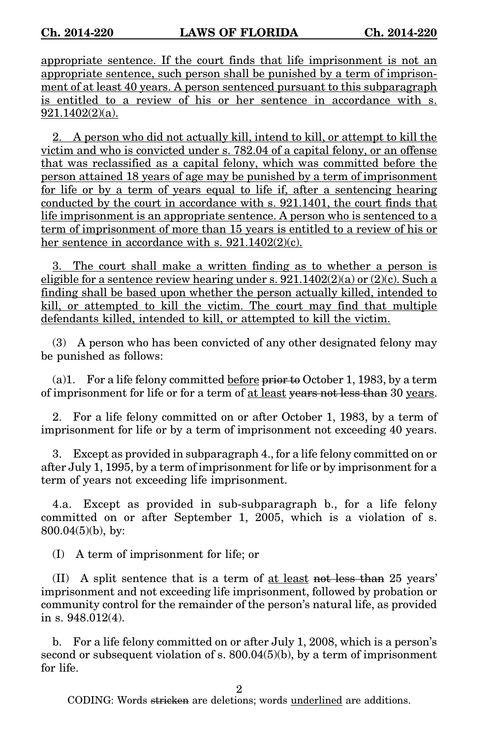appropriate sentence. If the court finds that life imprisonment is not an appropriate sentence, such person shall be punished by a term of imprisonment of at least 40 years. A person sentenced pursuant to this subparagraph is entitled to a review of his or her sentence in accordance with s. 921.1402(2)(a).

2. A person who did not actually kill, intend to kill, or attempt to kill the victim and who is convicted under s. 782.04 of a capital felony, or an offense that was reclassified as a capital felony, which was committed before the person attained 18 years of age may be punished by a term of imprisonment for life or by a term of years equal to life if, after a sentencing hearing conducted by the court in accordance with s. 921.1401, the court finds that life imprisonment is an appropriate sentence. A person who is sentenced to a term of imprisonment of more than 15 years is entitled to a review of his or her sentence in accordance with s.  $921.1402(2)(c)$ .

3. The court shall make a written finding as to whether a person is eligible for a sentence review hearing under s.  $921.1402(2)(a)$  or  $(2)(c)$ . Such a finding shall be based upon whether the person actually killed, intended to kill, or attempted to kill the victim. The court may find that multiple defendants killed, intended to kill, or attempted to kill the victim.

(3) A person who has been convicted of any other designated felony may be punished as follows:

(a)1. For a life felony committed before  $\frac{1}{2}$  Frontier 1, 1983, by a term of imprisonment for life or for a term of at least years not less than 30 years.

2. For a life felony committed on or after October 1, 1983, by a term of imprisonment for life or by a term of imprisonment not exceeding 40 years.

3. Except as provided in subparagraph 4., for a life felony committed on or after July 1, 1995, by a term of imprisonment for life or by imprisonment for a term of years not exceeding life imprisonment.

4.a. Except as provided in sub-subparagraph b., for a life felony committed on or after September 1, 2005, which is a violation of s. 800.04(5)(b), by:

(I) A term of imprisonment for life; or

(II) A split sentence that is a term of at least not less than 25 years' imprisonment and not exceeding life imprisonment, followed by probation or community control for the remainder of the person's natural life, as provided in s. 948.012(4).

b. For a life felony committed on or after July 1, 2008, which is a person's second or subsequent violation of s. 800.04(5)(b), by a term of imprisonment for life.

2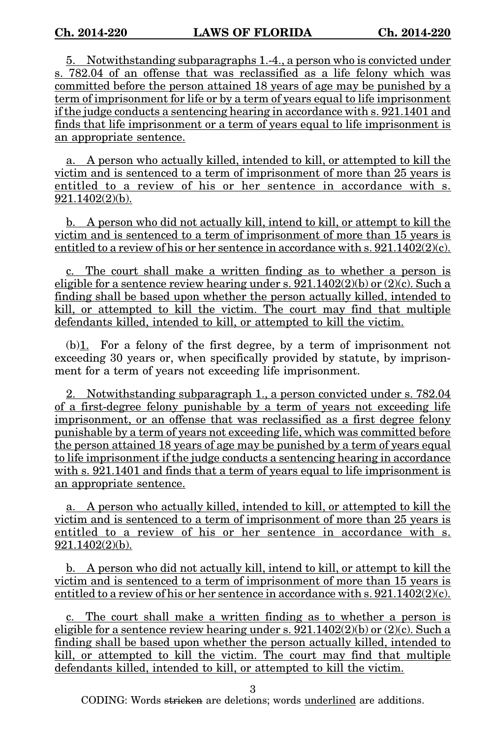5. Notwithstanding subparagraphs 1.-4., a person who is convicted under s. 782.04 of an offense that was reclassified as a life felony which was committed before the person attained 18 years of age may be punished by a term of imprisonment for life or by a term of years equal to life imprisonment if the judge conducts a sentencing hearing in accordance with s. 921.1401 and finds that life imprisonment or a term of years equal to life imprisonment is an appropriate sentence.

a. A person who actually killed, intended to kill, or attempted to kill the victim and is sentenced to a term of imprisonment of more than 25 years is entitled to a review of his or her sentence in accordance with s. 921.1402(2)(b).

b. A person who did not actually kill, intend to kill, or attempt to kill the victim and is sentenced to a term of imprisonment of more than 15 years is entitled to a review of his or her sentence in accordance with s.  $921.1402(2)(c)$ .

c. The court shall make a written finding as to whether a person is eligible for a sentence review hearing under s.  $921.1402(2)(b)$  or  $(2)(c)$ . Such a finding shall be based upon whether the person actually killed, intended to kill, or attempted to kill the victim. The court may find that multiple defendants killed, intended to kill, or attempted to kill the victim.

 $(b)$ <sup>1</sup>. For a felony of the first degree, by a term of imprisonment not exceeding 30 years or, when specifically provided by statute, by imprisonment for a term of years not exceeding life imprisonment.

2. Notwithstanding subparagraph 1., a person convicted under s. 782.04 of a first-degree felony punishable by a term of years not exceeding life imprisonment, or an offense that was reclassified as a first degree felony punishable by a term of years not exceeding life, which was committed before the person attained 18 years of age may be punished by a term of years equal to life imprisonment if the judge conducts a sentencing hearing in accordance with s. 921.1401 and finds that a term of years equal to life imprisonment is an appropriate sentence.

a. A person who actually killed, intended to kill, or attempted to kill the victim and is sentenced to a term of imprisonment of more than 25 years is entitled to a review of his or her sentence in accordance with s. 921.1402(2)(b).

b. A person who did not actually kill, intend to kill, or attempt to kill the victim and is sentenced to a term of imprisonment of more than 15 years is entitled to a review of his or her sentence in accordance with s.  $921.1402(2)(c)$ .

The court shall make a written finding as to whether a person is eligible for a sentence review hearing under s.  $921.1402(2)(b)$  or  $(2)(c)$ . Such a finding shall be based upon whether the person actually killed, intended to kill, or attempted to kill the victim. The court may find that multiple defendants killed, intended to kill, or attempted to kill the victim.

3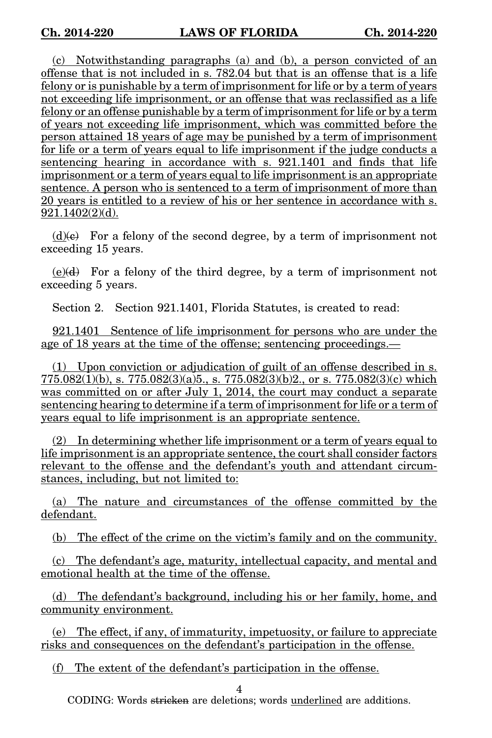(c) Notwithstanding paragraphs (a) and (b), a person convicted of an offense that is not included in s. 782.04 but that is an offense that is a life felony or is punishable by a term of imprisonment for life or by a term of years not exceeding life imprisonment, or an offense that was reclassified as a life felony or an offense punishable by a term of imprisonment for life or by a term of years not exceeding life imprisonment, which was committed before the person attained 18 years of age may be punished by a term of imprisonment for life or a term of years equal to life imprisonment if the judge conducts a sentencing hearing in accordance with s. 921.1401 and finds that life imprisonment or a term of years equal to life imprisonment is an appropriate sentence. A person who is sentenced to a term of imprisonment of more than 20 years is entitled to a review of his or her sentence in accordance with s. 921.1402(2)(d).

 $(d)$ (e) For a felony of the second degree, by a term of imprisonment not exceeding 15 years.

 $(e)(d)$  For a felony of the third degree, by a term of imprisonment not exceeding 5 years.

Section 2. Section 921.1401, Florida Statutes, is created to read:

921.1401 Sentence of life imprisonment for persons who are under the age of 18 years at the time of the offense; sentencing proceedings.—

(1) Upon conviction or adjudication of guilt of an offense described in s.  $775.082(1)(b)$ , s.  $775.082(3)(a)5$ ., s.  $775.082(3)(b)2$ ., or s.  $775.082(3)(c)$  which was committed on or after July 1, 2014, the court may conduct a separate sentencing hearing to determine if a term of imprisonment for life or a term of years equal to life imprisonment is an appropriate sentence.

(2) In determining whether life imprisonment or a term of years equal to life imprisonment is an appropriate sentence, the court shall consider factors relevant to the offense and the defendant's youth and attendant circumstances, including, but not limited to:

(a) The nature and circumstances of the offense committed by the defendant.

(b) The effect of the crime on the victim's family and on the community.

(c) The defendant's age, maturity, intellectual capacity, and mental and emotional health at the time of the offense.

(d) The defendant's background, including his or her family, home, and community environment.

(e) The effect, if any, of immaturity, impetuosity, or failure to appreciate risks and consequences on the defendant's participation in the offense.

(f) The extent of the defendant's participation in the offense.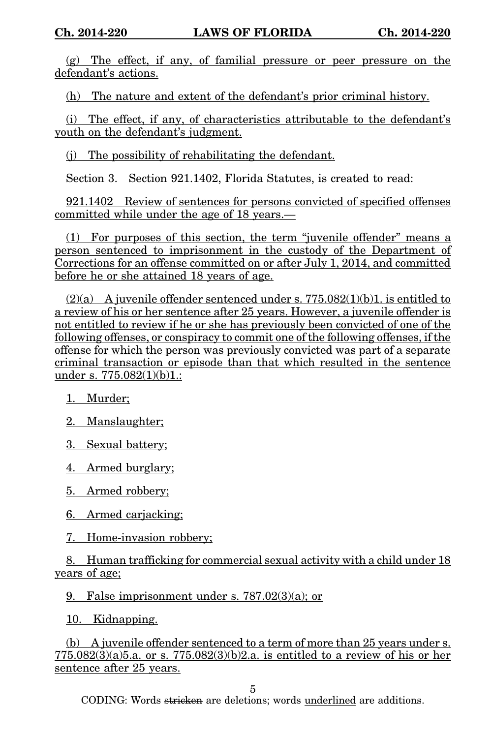(g) The effect, if any, of familial pressure or peer pressure on the defendant's actions.

(h) The nature and extent of the defendant's prior criminal history.

(i) The effect, if any, of characteristics attributable to the defendant's youth on the defendant's judgment.

(j) The possibility of rehabilitating the defendant.

Section 3. Section 921.1402, Florida Statutes, is created to read:

921.1402 Review of sentences for persons convicted of specified offenses committed while under the age of 18 years.—

(1) For purposes of this section, the term "juvenile offender" means a person sentenced to imprisonment in the custody of the Department of Corrections for an offense committed on or after July 1, 2014, and committed before he or she attained 18 years of age.

 $(2)(a)$  A juvenile offender sentenced under s. 775.082(1)(b)1. is entitled to a review of his or her sentence after 25 years. However, a juvenile offender is not entitled to review if he or she has previously been convicted of one of the following offenses, or conspiracy to commit one of the following offenses, if the offense for which the person was previously convicted was part of a separate criminal transaction or episode than that which resulted in the sentence under s. 775.082(1)(b)1.:

1. Murder;

2. Manslaughter;

3. Sexual battery;

4. Armed burglary;

5. Armed robbery;

6. Armed carjacking;

7. Home-invasion robbery;

8. Human trafficking for commercial sexual activity with a child under 18 years of age;

9. False imprisonment under s. 787.02(3)(a); or

10. Kidnapping.

(b) A juvenile offender sentenced to a term of more than 25 years under s. 775.082(3)(a)5.a. or s. 775.082(3)(b)2.a. is entitled to a review of his or her sentence after 25 years.

5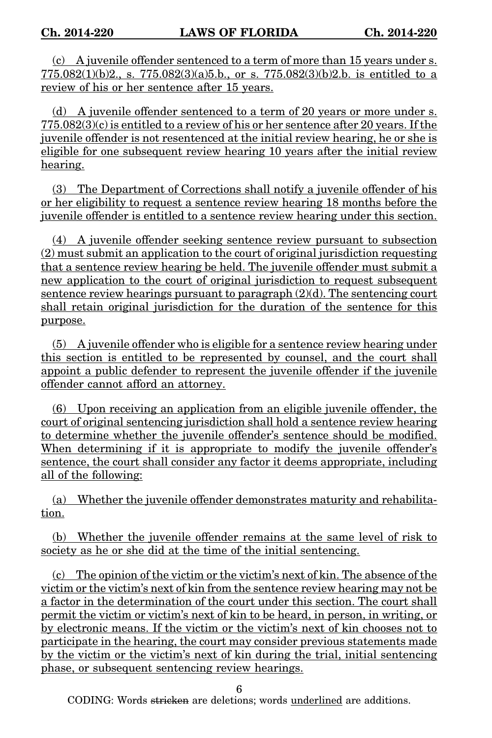(c) A juvenile offender sentenced to a term of more than 15 years under s.  $775.082(1)(b)2$ , s.  $775.082(3)(a)5.b$ , or s.  $775.082(3)(b)2.b$  is entitled to a review of his or her sentence after 15 years.

(d) A juvenile offender sentenced to a term of 20 years or more under s. 775.082(3)(c) is entitled to a review of his or her sentence after 20 years. If the juvenile offender is not resentenced at the initial review hearing, he or she is eligible for one subsequent review hearing 10 years after the initial review hearing.

(3) The Department of Corrections shall notify a juvenile offender of his or her eligibility to request a sentence review hearing 18 months before the juvenile offender is entitled to a sentence review hearing under this section.

(4) A juvenile offender seeking sentence review pursuant to subsection (2) must submit an application to the court of original jurisdiction requesting that a sentence review hearing be held. The juvenile offender must submit a new application to the court of original jurisdiction to request subsequent sentence review hearings pursuant to paragraph  $(2)(d)$ . The sentencing court shall retain original jurisdiction for the duration of the sentence for this purpose.

 $(5)$  A juvenile offender who is eligible for a sentence review hearing under this section is entitled to be represented by counsel, and the court shall appoint a public defender to represent the juvenile offender if the juvenile offender cannot afford an attorney.

(6) Upon receiving an application from an eligible juvenile offender, the court of original sentencing jurisdiction shall hold a sentence review hearing to determine whether the juvenile offender's sentence should be modified. When determining if it is appropriate to modify the juvenile offender's sentence, the court shall consider any factor it deems appropriate, including all of the following:

(a) Whether the juvenile offender demonstrates maturity and rehabilitation.

(b) Whether the juvenile offender remains at the same level of risk to society as he or she did at the time of the initial sentencing.

(c) The opinion of the victim or the victim's next of kin. The absence of the victim or the victim's next of kin from the sentence review hearing may not be a factor in the determination of the court under this section. The court shall permit the victim or victim's next of kin to be heard, in person, in writing, or by electronic means. If the victim or the victim's next of kin chooses not to participate in the hearing, the court may consider previous statements made by the victim or the victim's next of kin during the trial, initial sentencing phase, or subsequent sentencing review hearings.

6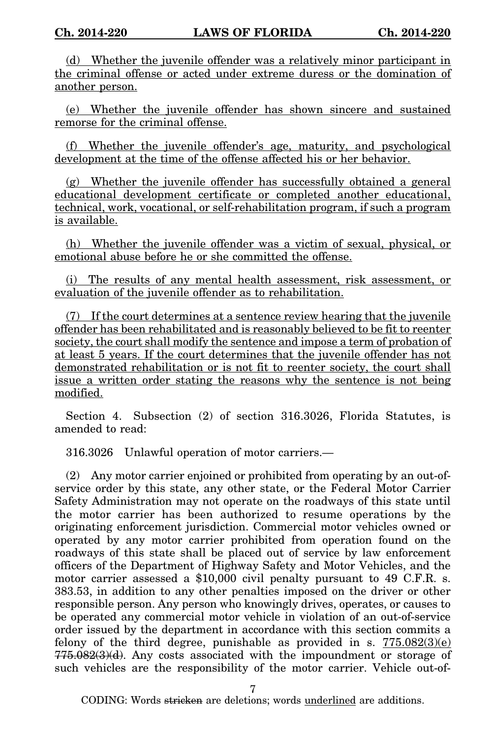(d) Whether the juvenile offender was a relatively minor participant in the criminal offense or acted under extreme duress or the domination of another person.

(e) Whether the juvenile offender has shown sincere and sustained remorse for the criminal offense.

(f) Whether the juvenile offender's age, maturity, and psychological development at the time of the offense affected his or her behavior.

(g) Whether the juvenile offender has successfully obtained a general educational development certificate or completed another educational, technical, work, vocational, or self-rehabilitation program, if such a program is available.

(h) Whether the juvenile offender was a victim of sexual, physical, or emotional abuse before he or she committed the offense.

(i) The results of any mental health assessment, risk assessment, or evaluation of the juvenile offender as to rehabilitation.

(7) If the court determines at a sentence review hearing that the juvenile offender has been rehabilitated and is reasonably believed to be fit to reenter society, the court shall modify the sentence and impose a term of probation of at least 5 years. If the court determines that the juvenile offender has not demonstrated rehabilitation or is not fit to reenter society, the court shall issue a written order stating the reasons why the sentence is not being modified.

Section 4. Subsection (2) of section 316.3026, Florida Statutes, is amended to read:

316.3026 Unlawful operation of motor carriers.—

(2) Any motor carrier enjoined or prohibited from operating by an out-ofservice order by this state, any other state, or the Federal Motor Carrier Safety Administration may not operate on the roadways of this state until the motor carrier has been authorized to resume operations by the originating enforcement jurisdiction. Commercial motor vehicles owned or operated by any motor carrier prohibited from operation found on the roadways of this state shall be placed out of service by law enforcement officers of the Department of Highway Safety and Motor Vehicles, and the motor carrier assessed a \$10,000 civil penalty pursuant to 49 C.F.R. s. 383.53, in addition to any other penalties imposed on the driver or other responsible person. Any person who knowingly drives, operates, or causes to be operated any commercial motor vehicle in violation of an out-of-service order issued by the department in accordance with this section commits a felony of the third degree, punishable as provided in s.  $775.082(3)(e)$  $775.082(3)(d)$ . Any costs associated with the impoundment or storage of such vehicles are the responsibility of the motor carrier. Vehicle out-of-

7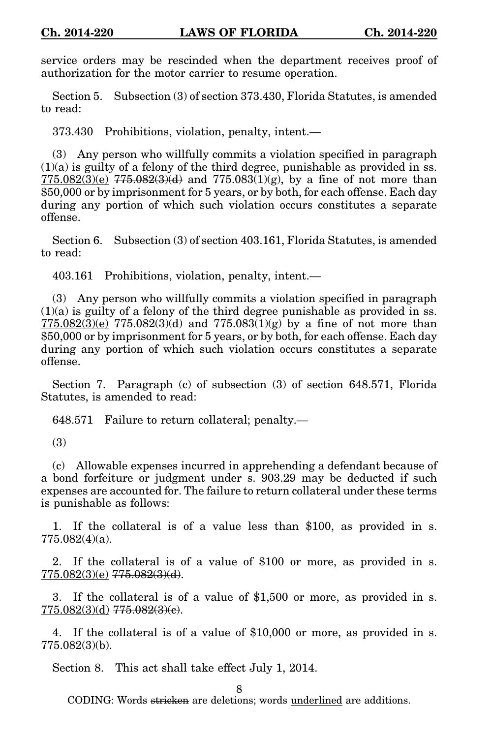service orders may be rescinded when the department receives proof of authorization for the motor carrier to resume operation.

Section 5. Subsection (3) of section 373.430, Florida Statutes, is amended to read:

373.430 Prohibitions, violation, penalty, intent.—

(3) Any person who willfully commits a violation specified in paragraph  $(1)(a)$  is guilty of a felony of the third degree, punishable as provided in ss. 775.082(3)(e)  $775.082(3)(d)$  and  $775.083(1)(g)$ , by a fine of not more than \$50,000 or by imprisonment for 5 years, or by both, for each offense. Each day during any portion of which such violation occurs constitutes a separate offense.

Section 6. Subsection (3) of section 403.161, Florida Statutes, is amended to read:

403.161 Prohibitions, violation, penalty, intent.—

(3) Any person who willfully commits a violation specified in paragraph  $(1)(a)$  is guilty of a felony of the third degree punishable as provided in ss.  $775.082(3)(e)$   $775.082(3)(d)$  and  $775.083(1)(g)$  by a fine of not more than \$50,000 or by imprisonment for 5 years, or by both, for each offense. Each day during any portion of which such violation occurs constitutes a separate offense.

Section 7. Paragraph (c) of subsection (3) of section 648.571, Florida Statutes, is amended to read:

648.571 Failure to return collateral; penalty.—

(3)

(c) Allowable expenses incurred in apprehending a defendant because of a bond forfeiture or judgment under s. 903.29 may be deducted if such expenses are accounted for. The failure to return collateral under these terms is punishable as follows:

1. If the collateral is of a value less than \$100, as provided in s. 775.082(4)(a).

2. If the collateral is of a value of \$100 or more, as provided in s. 775.082(3)(e) 775.082(3)(d).

3. If the collateral is of a value of \$1,500 or more, as provided in s.  $775.082(3)(d)$   $775.082(3)(e)$ .

4. If the collateral is of a value of \$10,000 or more, as provided in s. 775.082(3)(b).

Section 8. This act shall take effect July 1, 2014.

8